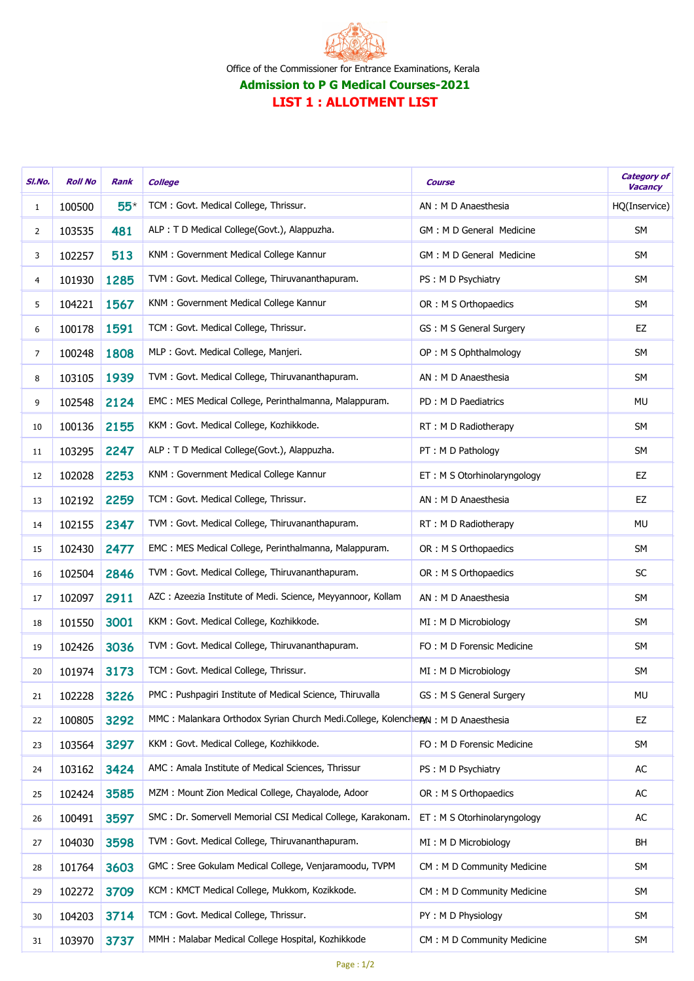

| SI.No.         | <b>Roll No</b> | Rank  | <b>College</b>                                                                   | <b>Course</b>                | <b>Category of</b><br>Vacancy |
|----------------|----------------|-------|----------------------------------------------------------------------------------|------------------------------|-------------------------------|
| 1              | 100500         | $55*$ | TCM: Govt. Medical College, Thrissur.                                            | AN: M D Anaesthesia          | HQ(Inservice)                 |
| 2              | 103535         | 481   | ALP : T D Medical College(Govt.), Alappuzha.                                     | GM : M D General Medicine    | <b>SM</b>                     |
| 3              | 102257         | 513   | KNM: Government Medical College Kannur                                           | GM : M D General Medicine    | <b>SM</b>                     |
| 4              | 101930         | 1285  | TVM: Govt. Medical College, Thiruvananthapuram.                                  | PS: M D Psychiatry           | <b>SM</b>                     |
| 5              | 104221         | 1567  | KNM : Government Medical College Kannur                                          | OR : M S Orthopaedics        | <b>SM</b>                     |
| 6              | 100178         | 1591  | TCM: Govt. Medical College, Thrissur.                                            | GS: M S General Surgery      | EZ                            |
| $\overline{7}$ | 100248         | 1808  | MLP : Govt. Medical College, Manjeri.                                            | OP: M S Ophthalmology        | <b>SM</b>                     |
| 8              | 103105         | 1939  | TVM: Govt. Medical College, Thiruvananthapuram.                                  | AN : M D Anaesthesia         | <b>SM</b>                     |
| 9              | 102548         | 2124  | EMC: MES Medical College, Perinthalmanna, Malappuram.                            | PD : M D Paediatrics         | MU                            |
| 10             | 100136         | 2155  | KKM: Govt. Medical College, Kozhikkode.                                          | RT : M D Radiotherapy        | <b>SM</b>                     |
| 11             | 103295         | 2247  | ALP : T D Medical College(Govt.), Alappuzha.                                     | PT: M D Pathology            | <b>SM</b>                     |
| 12             | 102028         | 2253  | KNM: Government Medical College Kannur                                           | ET : M S Otorhinolaryngology | EZ                            |
| 13             | 102192         | 2259  | TCM : Govt. Medical College, Thrissur.                                           | AN : M D Anaesthesia         | EZ                            |
| 14             | 102155         | 2347  | TVM : Govt. Medical College, Thiruvananthapuram.                                 | RT : M D Radiotherapy        | MU                            |
| 15             | 102430         | 2477  | EMC: MES Medical College, Perinthalmanna, Malappuram.                            | OR : M S Orthopaedics        | <b>SM</b>                     |
| 16             | 102504         | 2846  | TVM: Govt. Medical College, Thiruvananthapuram.                                  | OR : M S Orthopaedics        | <b>SC</b>                     |
| 17             | 102097         | 2911  | AZC: Azeezia Institute of Medi. Science, Meyyannoor, Kollam                      | AN : M D Anaesthesia         | <b>SM</b>                     |
| 18             | 101550         | 3001  | KKM: Govt. Medical College, Kozhikkode.                                          | MI: M D Microbiology         | <b>SM</b>                     |
| 19             | 102426         | 3036  | TVM: Govt. Medical College, Thiruvananthapuram.                                  | FO: M D Forensic Medicine    | <b>SM</b>                     |
| 20             | 101974         | 3173  | TCM: Govt. Medical College, Thrissur.                                            | MI: M D Microbiology         | <b>SM</b>                     |
| 21             | 102228         | 3226  | PMC: Pushpagiri Institute of Medical Science, Thiruvalla                         | GS : M S General Surgery     | MU                            |
| 22             | 100805         | 3292  | MMC: Malankara Orthodox Syrian Church Medi.College, KolencheryN: M D Anaesthesia |                              | EZ                            |
| 23             | 103564         | 3297  | KKM: Govt. Medical College, Kozhikkode.                                          | FO: M D Forensic Medicine    | <b>SM</b>                     |
| 24             | 103162         | 3424  | AMC: Amala Institute of Medical Sciences, Thrissur                               | PS: M D Psychiatry           | AC                            |
| 25             | 102424         | 3585  | MZM: Mount Zion Medical College, Chayalode, Adoor                                | OR : M S Orthopaedics        | AC                            |
| 26             | 100491         | 3597  | SMC: Dr. Somervell Memorial CSI Medical College, Karakonam.                      | ET: M S Otorhinolaryngology  | AC                            |
| 27             | 104030         | 3598  | TVM: Govt. Medical College, Thiruvananthapuram.                                  | MI: M D Microbiology         | BH                            |
| 28             | 101764         | 3603  | GMC: Sree Gokulam Medical College, Venjaramoodu, TVPM                            | CM: M D Community Medicine   | SM                            |
| 29             | 102272         | 3709  | KCM: KMCT Medical College, Mukkom, Kozikkode.                                    | CM : M D Community Medicine  | <b>SM</b>                     |
| 30             | 104203         | 3714  | TCM: Govt. Medical College, Thrissur.                                            | PY: M D Physiology           | <b>SM</b>                     |
| 31             | 103970         | 3737  | MMH: Malabar Medical College Hospital, Kozhikkode                                | CM : M D Community Medicine  | <b>SM</b>                     |